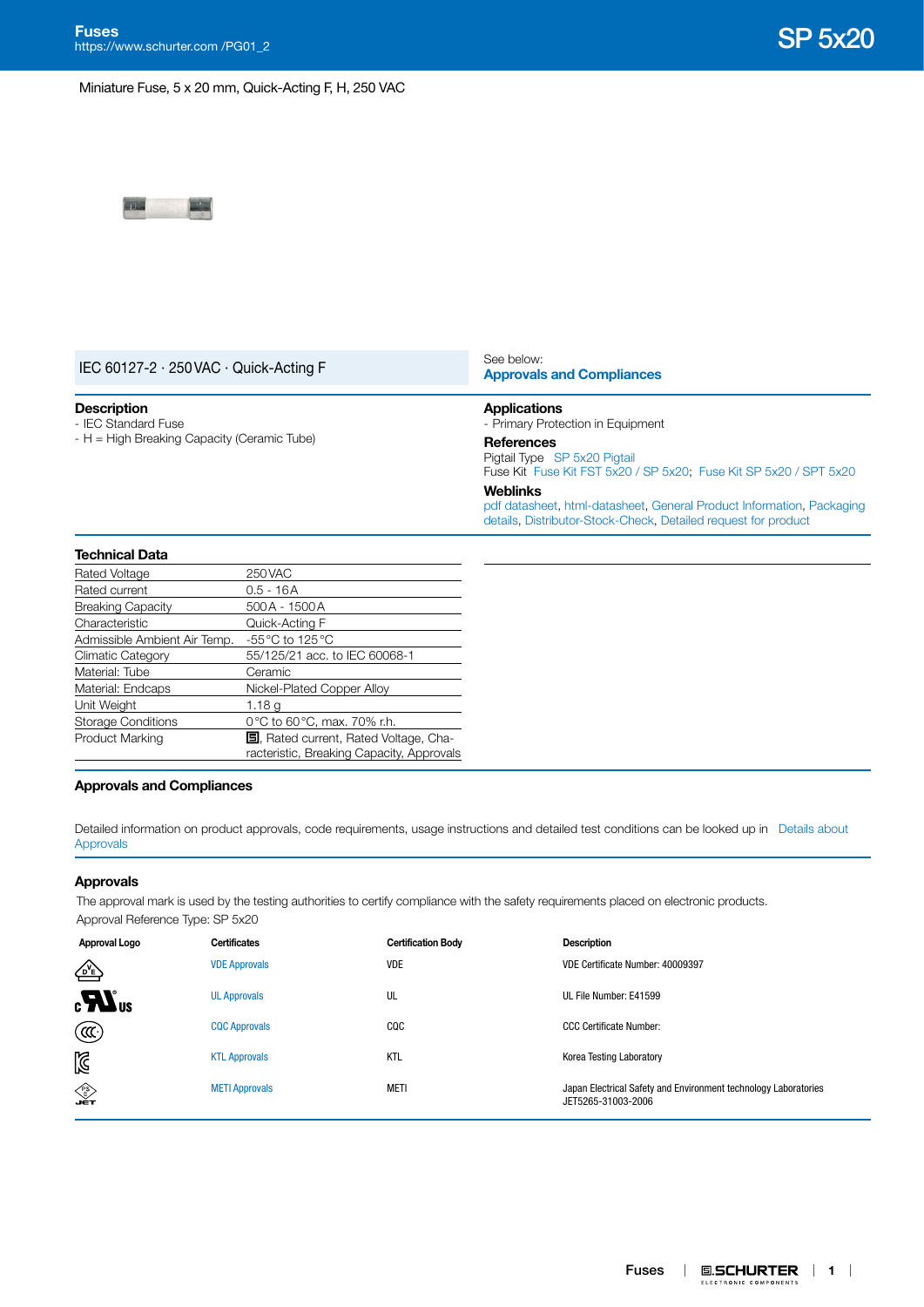Miniature Fuse, 5 x 20 mm, Quick-Acting F, H, 250 VAC



| IEC 60127-2 $\cdot$ 250 VAC $\cdot$ Quick-Acting F |                | See below:<br><b>Approvals and Compliances</b><br><b>Applications</b><br>- Primary Protection in Equipment                                                 |  |  |  |  |
|----------------------------------------------------|----------------|------------------------------------------------------------------------------------------------------------------------------------------------------------|--|--|--|--|
| <b>Description</b><br>- IEC Standard Fuse          |                |                                                                                                                                                            |  |  |  |  |
| $-H =$ High Breaking Capacity (Ceramic Tube)       |                | <b>References</b><br>Pigtail Type SP 5x20 Pigtail<br>Fuse Kit Fuse Kit FST 5x20 / SP 5x20; Fuse Kit SP 5x20 / SPT 5x20                                     |  |  |  |  |
|                                                    |                | <b>Weblinks</b><br>pdf datasheet, html-datasheet, General Product Information, Packaging<br>details, Distributor-Stock-Check, Detailed request for product |  |  |  |  |
| <b>Technical Data</b>                              |                |                                                                                                                                                            |  |  |  |  |
| Rated Voltage                                      | 250 VAC        |                                                                                                                                                            |  |  |  |  |
| Rated current                                      | $0.5 - 16A$    |                                                                                                                                                            |  |  |  |  |
| <b>Breaking Capacity</b>                           | 500 A - 1500 A |                                                                                                                                                            |  |  |  |  |

| Rated current                | U.5 - TOA                                     |
|------------------------------|-----------------------------------------------|
| <b>Breaking Capacity</b>     | 500A - 1500A                                  |
| Characteristic               | Quick-Acting F                                |
| Admissible Ambient Air Temp. | -55 °C to 125 °C                              |
| <b>Climatic Category</b>     | 55/125/21 acc. to IEC 60068-1                 |
| Material: Tube               | Ceramic                                       |
| Material: Endcaps            | Nickel-Plated Copper Alloy                    |
| Unit Weight                  | 1.18 g                                        |
| <b>Storage Conditions</b>    | 0 °C to 60 °C, max. 70% r.h.                  |
| Product Marking              | <b>国</b> , Rated current, Rated Voltage, Cha- |
|                              | racteristic, Breaking Capacity, Approvals     |

## <span id="page-0-0"></span>**Approvals and Compliances**

Detailed information on product approvals, code requirements, usage instructions and detailed test conditions can be looked up in [Details about](https://www.schurter.com/en/Components/Connectors/General-Product-Information#1.1)  [Approvals](https://www.schurter.com/en/Components/Connectors/General-Product-Information#1.1)

## **Approvals**

The approval mark is used by the testing authorities to certify compliance with the safety requirements placed on electronic products. Approval Reference Type: SP 5x20

| Approval Logo    | <b>Certificates</b>   | <b>Certification Body</b> | <b>Description</b>                                                                    |
|------------------|-----------------------|---------------------------|---------------------------------------------------------------------------------------|
| ቂ                | <b>VDE Approvals</b>  | <b>VDE</b>                | VDE Certificate Number: 40009397                                                      |
| $\boldsymbol{u}$ | <b>UL Approvals</b>   | UL                        | UL File Number: E41599                                                                |
| (CC)             | <b>CQC Approvals</b>  | CQC                       | <b>CCC Certificate Number:</b>                                                        |
| $\mathbb N$      | <b>KTL Approvals</b>  | <b>KTL</b>                | Korea Testing Laboratory                                                              |
| ∕<br>∎€ा         | <b>METI Approvals</b> | meti                      | Japan Electrical Safety and Environment technology Laboratories<br>JET5265-31003-2006 |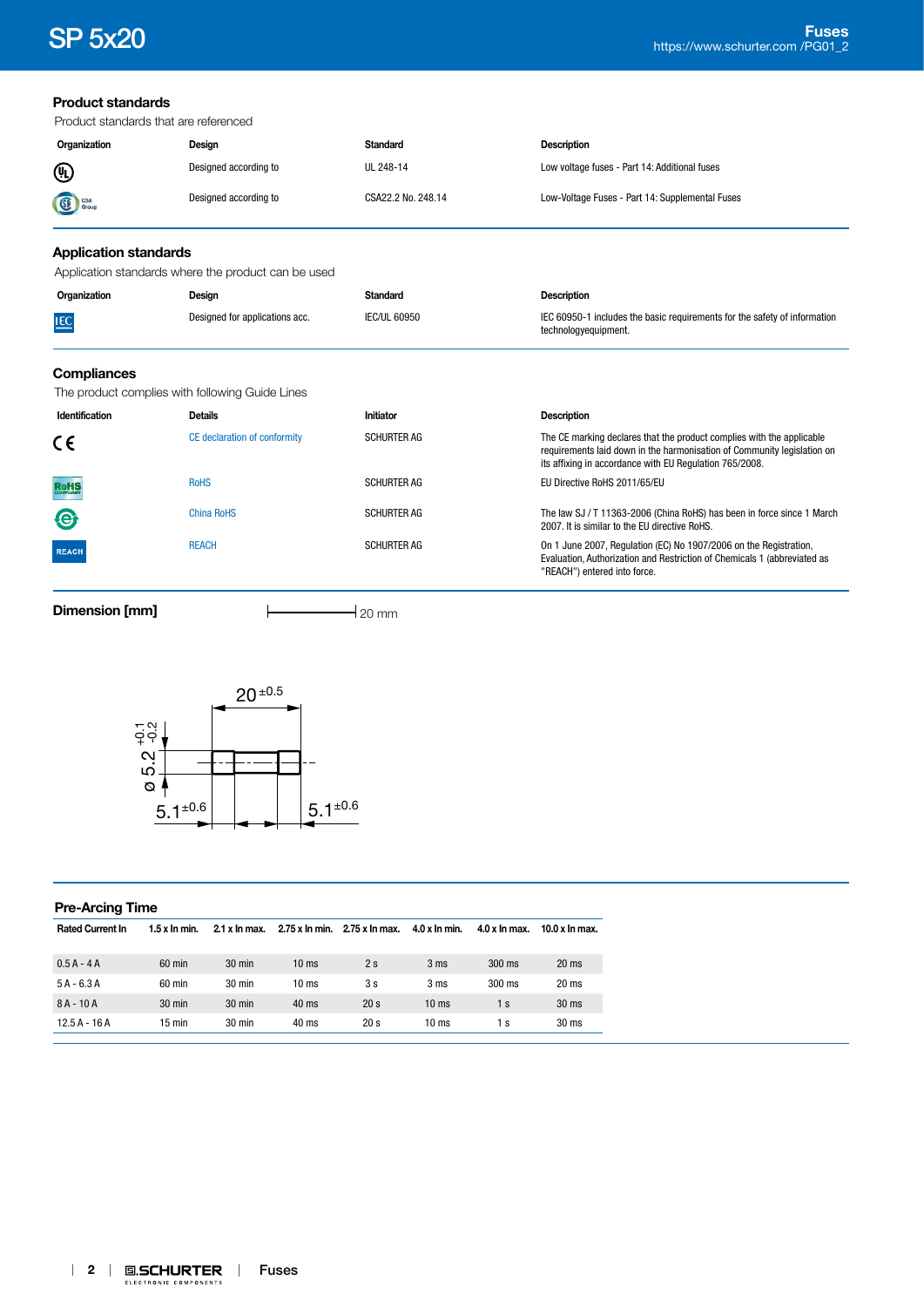| <b>Product standards</b>                     |                                                     |                     |                                                                                                                                                                                                             |
|----------------------------------------------|-----------------------------------------------------|---------------------|-------------------------------------------------------------------------------------------------------------------------------------------------------------------------------------------------------------|
|                                              | Product standards that are referenced               |                     |                                                                                                                                                                                                             |
| Organization                                 | Design                                              | <b>Standard</b>     | <b>Description</b>                                                                                                                                                                                          |
| ⋓                                            | Designed according to                               | UL 248-14           | Low voltage fuses - Part 14: Additional fuses                                                                                                                                                               |
| CSA<br>Group                                 | Designed according to                               | CSA22.2 No. 248.14  | Low-Voltage Fuses - Part 14: Supplemental Fuses                                                                                                                                                             |
| <b>Application standards</b>                 |                                                     |                     |                                                                                                                                                                                                             |
|                                              | Application standards where the product can be used |                     |                                                                                                                                                                                                             |
| Organization                                 | Design                                              | <b>Standard</b>     | <b>Description</b>                                                                                                                                                                                          |
| Designed for applications acc.<br><b>IEC</b> |                                                     | <b>IEC/UL 60950</b> | IEC 60950-1 includes the basic requirements for the safety of information<br>technologyequipment.                                                                                                           |
| <b>Compliances</b>                           |                                                     |                     |                                                                                                                                                                                                             |
|                                              | The product complies with following Guide Lines     |                     |                                                                                                                                                                                                             |
| Identification                               | <b>Details</b>                                      | Initiator           | <b>Description</b>                                                                                                                                                                                          |
| CE                                           | CE declaration of conformity                        | <b>SCHURTER AG</b>  | The CE marking declares that the product complies with the applicable<br>requirements laid down in the harmonisation of Community legislation on<br>its affixing in accordance with EU Regulation 765/2008. |
| <b>RoHS</b>                                  | <b>RoHS</b>                                         | <b>SCHURTER AG</b>  | EU Directive RoHS 2011/65/EU                                                                                                                                                                                |
| $\bigcirc$                                   | <b>China RoHS</b>                                   | <b>SCHURTER AG</b>  | The law SJ / T 11363-2006 (China RoHS) has been in force since 1 March<br>2007. It is similar to the EU directive RoHS.                                                                                     |
| <b>REACH</b>                                 | <b>REACH</b>                                        | <b>SCHURTER AG</b>  | On 1 June 2007, Regulation (EC) No 1907/2006 on the Registration,<br>Evaluation, Authorization and Restriction of Chemicals 1 (abbreviated as<br>"REACH") entered into force.                               |

**Dimension [mm]** 20 mm



| <b>Pre-Arcing Time</b>  |                  |                               |                  |                 |                               |                 |                  |
|-------------------------|------------------|-------------------------------|------------------|-----------------|-------------------------------|-----------------|------------------|
| <b>Rated Current In</b> | $1.5x$ In min.   | $2.1 \times \ln \text{max}$ . | 2.75 x In min.   | 2.75 x ln max.  | $4.0 \times \ln \text{min}$ . | $4.0 x$ In max. | $10.0 x$ In max. |
| $0.5A - 4A$             | 60 min           | $30 \text{ min}$              | 10 <sub>ms</sub> | 2s              | 3 <sub>ms</sub>               | 300 ms          | 20 <sub>ms</sub> |
| $5A - 6.3A$             | 60 min           | $30 \text{ min}$              | 10 <sub>ms</sub> | 3s              | 3 <sub>ms</sub>               | 300 ms          | $20$ ms          |
| $8A - 10A$              | $30 \text{ min}$ | $30 \text{ min}$              | $40$ ms          | 20 <sub>s</sub> | 10 <sub>ms</sub>              | 1 s             | 30 <sub>ms</sub> |
| $12.5A - 16A$           | $15 \text{ min}$ | $30 \text{ min}$              | 40 ms            | 20 <sub>s</sub> | 10 <sub>ms</sub>              | $\mathsf{S}$    | 30 <sub>ms</sub> |
|                         |                  |                               |                  |                 |                               |                 |                  |